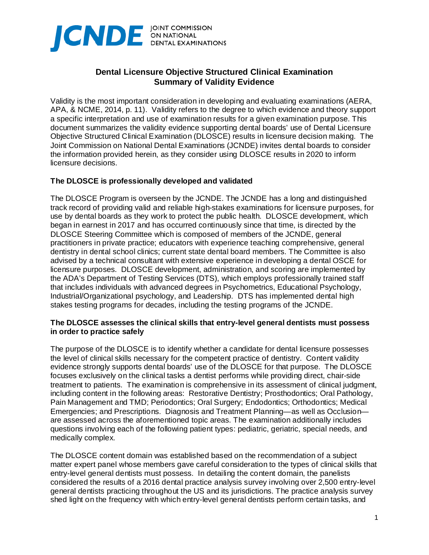

# **Dental Licensure Objective Structured Clinical Examination Summary of Validity Evidence**

Validity is the most important consideration in developing and evaluating examinations (AERA, APA, & NCME, 2014, p. 11). Validity refers to the degree to which evidence and theory support a specific interpretation and use of examination results for a given examination purpose. This document summarizes the validity evidence supporting dental boards' use of Dental Licensure Objective Structured Clinical Examination (DLOSCE) results in licensure decision making. The Joint Commission on National Dental Examinations (JCNDE) invites dental boards to consider the information provided herein, as they consider using DLOSCE results in 2020 to inform licensure decisions.

### **The DLOSCE is professionally developed and validated**

The DLOSCE Program is overseen by the JCNDE. The JCNDE has a long and distinguished track record of providing valid and reliable high-stakes examinations for licensure purposes, for use by dental boards as they work to protect the public health. DLOSCE development, which began in earnest in 2017 and has occurred continuously since that time, is directed by the DLOSCE Steering Committee which is composed of members of the JCNDE, general practitioners in private practice; educators with experience teaching comprehensive, general dentistry in dental school clinics; current state dental board members. The Committee is also advised by a technical consultant with extensive experience in developing a dental OSCE for licensure purposes. DLOSCE development, administration, and scoring are implemented by the ADA's Department of Testing Services (DTS), which employs professionally trained staff that includes individuals with advanced degrees in Psychometrics, Educational Psychology, Industrial/Organizational psychology, and Leadership. DTS has implemented dental high stakes testing programs for decades, including the testing programs of the JCNDE.

#### **The DLOSCE assesses the clinical skills that entry-level general dentists must possess in order to practice safely**

The purpose of the DLOSCE is to identify whether a candidate for dental licensure possesses the level of clinical skills necessary for the competent practice of dentistry. Content validity evidence strongly supports dental boards' use of the DLOSCE for that purpose. The DLOSCE focuses exclusively on the clinical tasks a dentist performs while providing direct, chair-side treatment to patients. The examination is comprehensive in its assessment of clinical judgment, including content in the following areas: Restorative Dentistry; Prosthodontics; Oral Pathology, Pain Management and TMD; Periodontics; Oral Surgery; Endodontics; Orthodontics; Medical Emergencies; and Prescriptions. Diagnosis and Treatment Planning—as well as Occlusion are assessed across the aforementioned topic areas. The examination additionally includes questions involving each of the following patient types: pediatric, geriatric, special needs, and medically complex.

The DLOSCE content domain was established based on the recommendation of a subject matter expert panel whose members gave careful consideration to the types of clinical skills that entry-level general dentists must possess. In detailing the content domain, the panelists considered the results of a 2016 dental practice analysis survey involving over 2,500 entry-level general dentists practicing throughout the US and its jurisdictions. The practice analysis survey shed light on the frequency with which entry-level general dentists perform certain tasks, and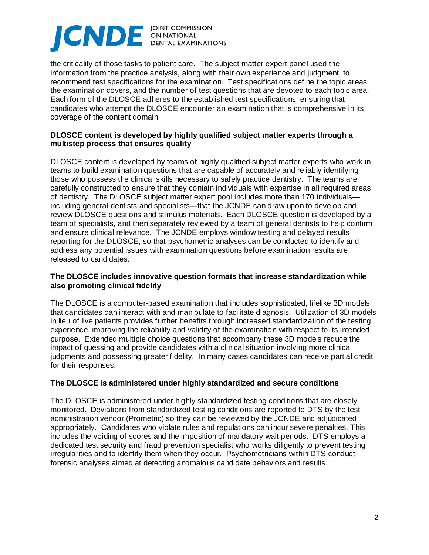# CNDE **DINT COMMISSION**

the criticality of those tasks to patient care. The subject matter expert panel used the information from the practice analysis, along with their own experience and judgment, to recommend test specifications for the examination. Test specifications define the topic areas the examination covers, and the number of test questions that are devoted to each topic area. Each form of the DLOSCE adheres to the established test specifications, ensuring that candidates who attempt the DLOSCE encounter an examination that is comprehensive in its coverage of the content domain.

## **DLOSCE content is developed by highly qualified subject matter experts through a multistep process that ensures quality**

DLOSCE content is developed by teams of highly qualified subject matter experts who work in teams to build examination questions that are capable of accurately and reliably identifying those who possess the clinical skills necessary to safely practice dentistry. The teams are carefully constructed to ensure that they contain individuals with expertise in all required areas of dentistry. The DLOSCE subject matter expert pool includes more than 170 individuals including general dentists and specialists—that the JCNDE can draw upon to develop and review DLOSCE questions and stimulus materials. Each DLOSCE question is developed by a team of specialists, and then separately reviewed by a team of general dentists to help confirm and ensure clinical relevance. The JCNDE employs window testing and delayed results reporting for the DLOSCE, so that psychometric analyses can be conducted to identify and address any potential issues with examination questions before examination results are released to candidates.

## **The DLOSCE includes innovative question formats that increase standardization while also promoting clinical fidelity**

The DLOSCE is a computer-based examination that includes sophisticated, lifelike 3D models that candidates can interact with and manipulate to facilitate diagnosis. Utilization of 3D models in lieu of live patients provides further benefits through increased standardization of the testing experience, improving the reliability and validity of the examination with respect to its intended purpose. Extended multiple choice questions that accompany these 3D models reduce the impact of guessing and provide candidates with a clinical situation involving more clinical judgments and possessing greater fidelity. In many cases candidates can receive partial credit for their responses.

## **The DLOSCE is administered under highly standardized and secure conditions**

The DLOSCE is administered under highly standardized testing conditions that are closely monitored. Deviations from standardized testing conditions are reported to DTS by the test administration vendor (Prometric) so they can be reviewed by the JCNDE and adjudicated appropriately. Candidates who violate rules and regulations can incur severe penalties. This includes the voiding of scores and the imposition of mandatory wait periods. DTS employs a dedicated test security and fraud prevention specialist who works diligently to prevent testing irregularities and to identify them when they occur. Psychometricians within DTS conduct forensic analyses aimed at detecting anomalous candidate behaviors and results.